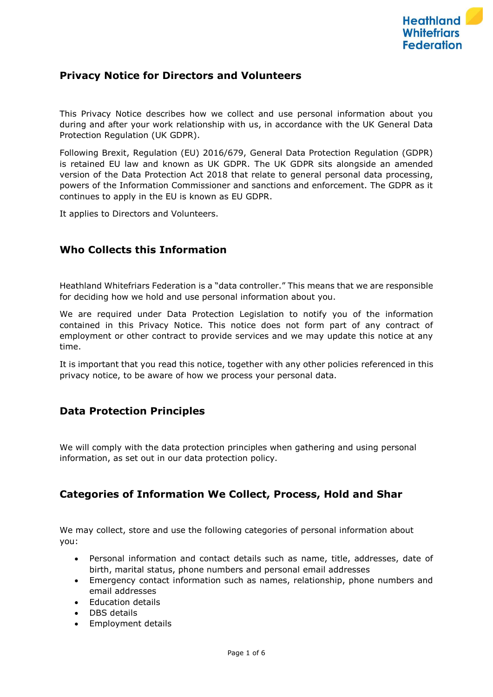

## **Privacy Notice for Directors and Volunteers**

This Privacy Notice describes how we collect and use personal information about you during and after your work relationship with us, in accordance with the UK General Data Protection Regulation (UK GDPR).

Following Brexit, Regulation (EU) 2016/679, General Data Protection Regulation (GDPR) is retained EU law and known as UK GDPR. The UK GDPR sits alongside an amended version of the Data Protection Act 2018 that relate to general personal data processing, powers of the Information Commissioner and sanctions and enforcement. The GDPR as it continues to apply in the EU is known as EU GDPR.

It applies to Directors and Volunteers.

### **Who Collects this Information**

Heathland Whitefriars Federation is a "data controller." This means that we are responsible for deciding how we hold and use personal information about you.

We are required under Data Protection Legislation to notify you of the information contained in this Privacy Notice. This notice does not form part of any contract of employment or other contract to provide services and we may update this notice at any time.

It is important that you read this notice, together with any other policies referenced in this privacy notice, to be aware of how we process your personal data.

### **Data Protection Principles**

We will comply with the data protection principles when gathering and using personal information, as set out in our data protection policy.

### **Categories of Information We Collect, Process, Hold and Shar**

We may collect, store and use the following categories of personal information about you:

- Personal information and contact details such as name, title, addresses, date of birth, marital status, phone numbers and personal email addresses
- Emergency contact information such as names, relationship, phone numbers and email addresses
- Education details
- DBS details
- Employment details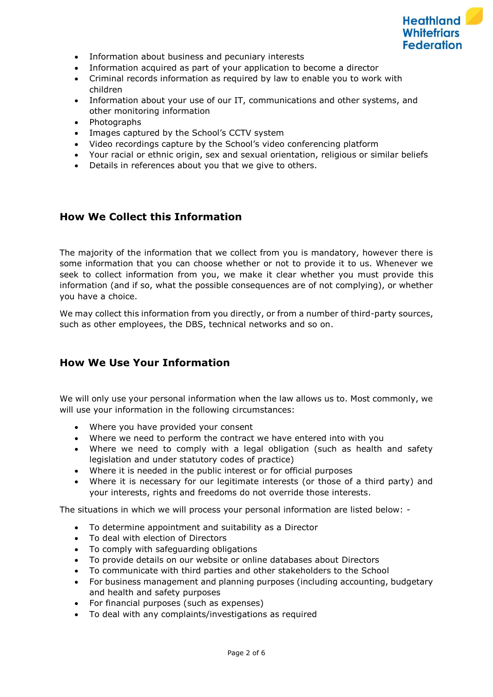

- Information about business and pecuniary interests
- Information acquired as part of your application to become a director
- Criminal records information as required by law to enable you to work with children
- Information about your use of our IT, communications and other systems, and other monitoring information
- Photographs
- Images captured by the School's CCTV system
- Video recordings capture by the School's video conferencing platform
- Your racial or ethnic origin, sex and sexual orientation, religious or similar beliefs
- Details in references about you that we give to others.

## **How We Collect this Information**

The majority of the information that we collect from you is mandatory, however there is some information that you can choose whether or not to provide it to us. Whenever we seek to collect information from you, we make it clear whether you must provide this information (and if so, what the possible consequences are of not complying), or whether you have a choice.

We may collect this information from you directly, or from a number of third-party sources, such as other employees, the DBS, technical networks and so on.

### **How We Use Your Information**

We will only use your personal information when the law allows us to. Most commonly, we will use your information in the following circumstances:

- Where you have provided your consent
- Where we need to perform the contract we have entered into with you
- Where we need to comply with a legal obligation (such as health and safety legislation and under statutory codes of practice)
- Where it is needed in the public interest or for official purposes
- Where it is necessary for our legitimate interests (or those of a third party) and your interests, rights and freedoms do not override those interests.

The situations in which we will process your personal information are listed below: -

- To determine appointment and suitability as a Director
- To deal with election of Directors
- To comply with safeguarding obligations
- To provide details on our website or online databases about Directors
- To communicate with third parties and other stakeholders to the School
- For business management and planning purposes (including accounting, budgetary and health and safety purposes
- For financial purposes (such as expenses)
- To deal with any complaints/investigations as required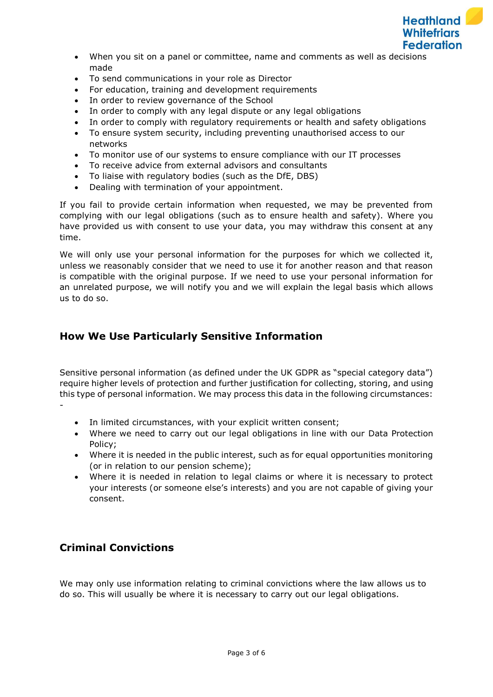

- When you sit on a panel or committee, name and comments as well as decisions made
- To send communications in your role as Director
- For education, training and development requirements
- In order to review governance of the School
- In order to comply with any legal dispute or any legal obligations
- In order to comply with regulatory requirements or health and safety obligations
- To ensure system security, including preventing unauthorised access to our networks
- To monitor use of our systems to ensure compliance with our IT processes
- To receive advice from external advisors and consultants
- To liaise with regulatory bodies (such as the DfE, DBS)
- Dealing with termination of your appointment.

If you fail to provide certain information when requested, we may be prevented from complying with our legal obligations (such as to ensure health and safety). Where you have provided us with consent to use your data, you may withdraw this consent at any time.

We will only use your personal information for the purposes for which we collected it, unless we reasonably consider that we need to use it for another reason and that reason is compatible with the original purpose. If we need to use your personal information for an unrelated purpose, we will notify you and we will explain the legal basis which allows us to do so.

## **How We Use Particularly Sensitive Information**

Sensitive personal information (as defined under the UK GDPR as "special category data") require higher levels of protection and further justification for collecting, storing, and using this type of personal information. We may process this data in the following circumstances: -

- In limited circumstances, with your explicit written consent;
- Where we need to carry out our legal obligations in line with our Data Protection Policy;
- Where it is needed in the public interest, such as for equal opportunities monitoring (or in relation to our pension scheme);
- Where it is needed in relation to legal claims or where it is necessary to protect your interests (or someone else's interests) and you are not capable of giving your consent.

# **Criminal Convictions**

We may only use information relating to criminal convictions where the law allows us to do so. This will usually be where it is necessary to carry out our legal obligations.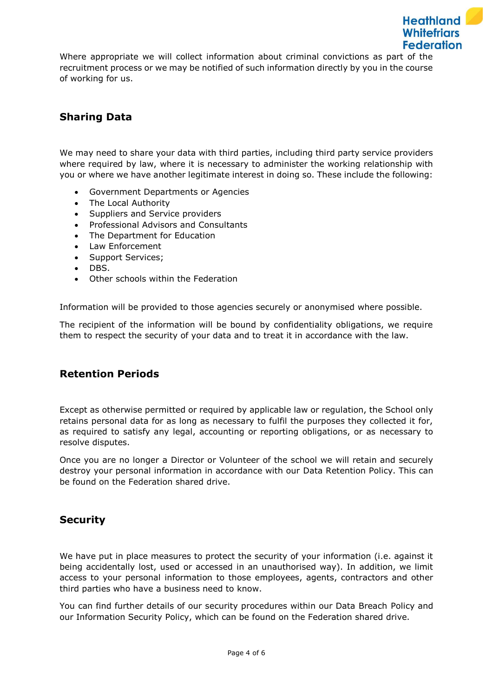

Where appropriate we will collect information about criminal convictions as part of the recruitment process or we may be notified of such information directly by you in the course of working for us.

# **Sharing Data**

We may need to share your data with third parties, including third party service providers where required by law, where it is necessary to administer the working relationship with you or where we have another legitimate interest in doing so. These include the following:

- Government Departments or Agencies
- The Local Authority
- Suppliers and Service providers
- Professional Advisors and Consultants
- The Department for Education
- Law Enforcement
- Support Services;
- DBS.
- Other schools within the Federation

Information will be provided to those agencies securely or anonymised where possible.

The recipient of the information will be bound by confidentiality obligations, we require them to respect the security of your data and to treat it in accordance with the law.

### **Retention Periods**

Except as otherwise permitted or required by applicable law or regulation, the School only retains personal data for as long as necessary to fulfil the purposes they collected it for, as required to satisfy any legal, accounting or reporting obligations, or as necessary to resolve disputes.

Once you are no longer a Director or Volunteer of the school we will retain and securely destroy your personal information in accordance with our Data Retention Policy. This can be found on the Federation shared drive.

### **Security**

We have put in place measures to protect the security of your information (i.e. against it being accidentally lost, used or accessed in an unauthorised way). In addition, we limit access to your personal information to those employees, agents, contractors and other third parties who have a business need to know.

You can find further details of our security procedures within our Data Breach Policy and our Information Security Policy, which can be found on the Federation shared drive.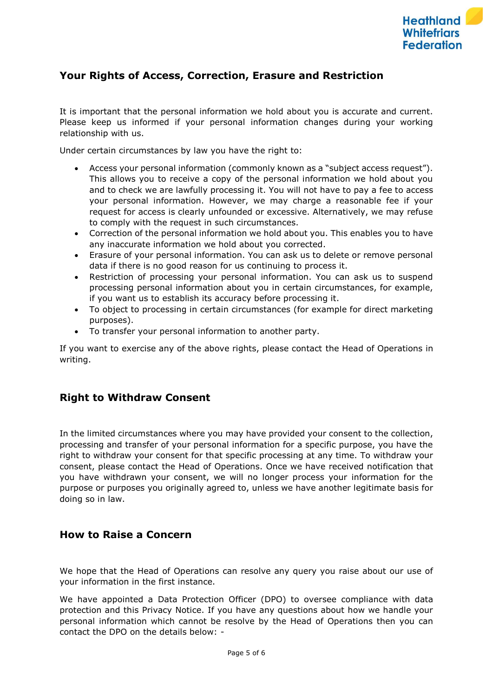

## **Your Rights of Access, Correction, Erasure and Restriction**

It is important that the personal information we hold about you is accurate and current. Please keep us informed if your personal information changes during your working relationship with us.

Under certain circumstances by law you have the right to:

- Access your personal information (commonly known as a "subject access request"). This allows you to receive a copy of the personal information we hold about you and to check we are lawfully processing it. You will not have to pay a fee to access your personal information. However, we may charge a reasonable fee if your request for access is clearly unfounded or excessive. Alternatively, we may refuse to comply with the request in such circumstances.
- Correction of the personal information we hold about you. This enables you to have any inaccurate information we hold about you corrected.
- Erasure of your personal information. You can ask us to delete or remove personal data if there is no good reason for us continuing to process it.
- Restriction of processing your personal information. You can ask us to suspend processing personal information about you in certain circumstances, for example, if you want us to establish its accuracy before processing it.
- To object to processing in certain circumstances (for example for direct marketing purposes).
- To transfer your personal information to another party.

If you want to exercise any of the above rights, please contact the Head of Operations in writing.

### **Right to Withdraw Consent**

In the limited circumstances where you may have provided your consent to the collection, processing and transfer of your personal information for a specific purpose, you have the right to withdraw your consent for that specific processing at any time. To withdraw your consent, please contact the Head of Operations. Once we have received notification that you have withdrawn your consent, we will no longer process your information for the purpose or purposes you originally agreed to, unless we have another legitimate basis for doing so in law.

### **How to Raise a Concern**

We hope that the Head of Operations can resolve any query you raise about our use of your information in the first instance.

We have appointed a Data Protection Officer (DPO) to oversee compliance with data protection and this Privacy Notice. If you have any questions about how we handle your personal information which cannot be resolve by the Head of Operations then you can contact the DPO on the details below: -